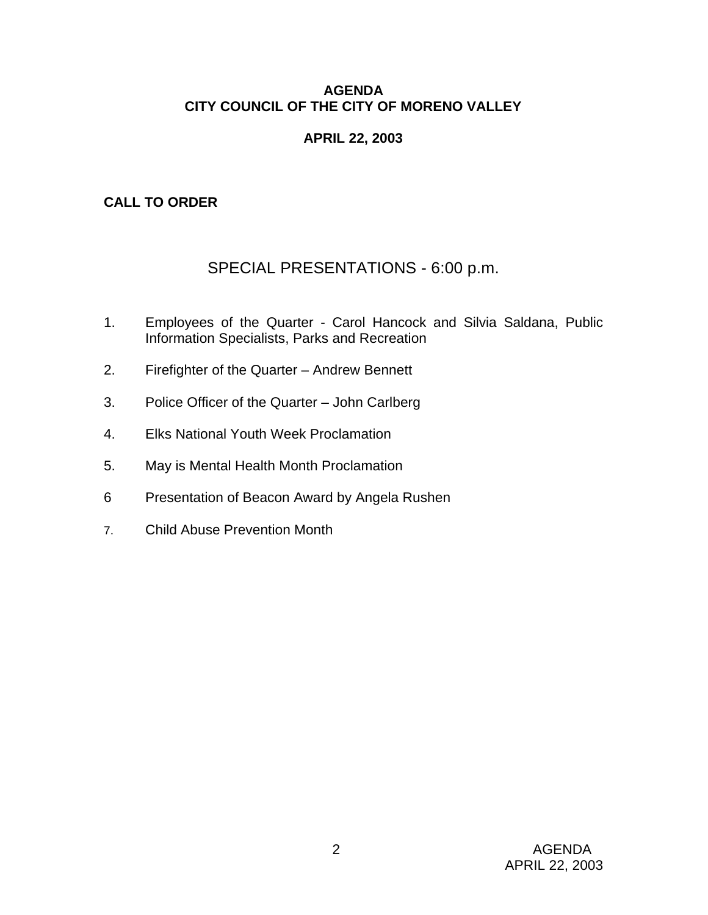### **AGENDA CITY COUNCIL OF THE CITY OF MORENO VALLEY**

### **APRIL 22, 2003**

# **CALL TO ORDER**

# SPECIAL PRESENTATIONS - 6:00 p.m.

- 1. Employees of the Quarter Carol Hancock and Silvia Saldana, Public Information Specialists, Parks and Recreation
- 2. Firefighter of the Quarter Andrew Bennett
- 3. Police Officer of the Quarter John Carlberg
- 4. Elks National Youth Week Proclamation
- 5. May is Mental Health Month Proclamation
- 6 Presentation of Beacon Award by Angela Rushen
- 7. Child Abuse Prevention Month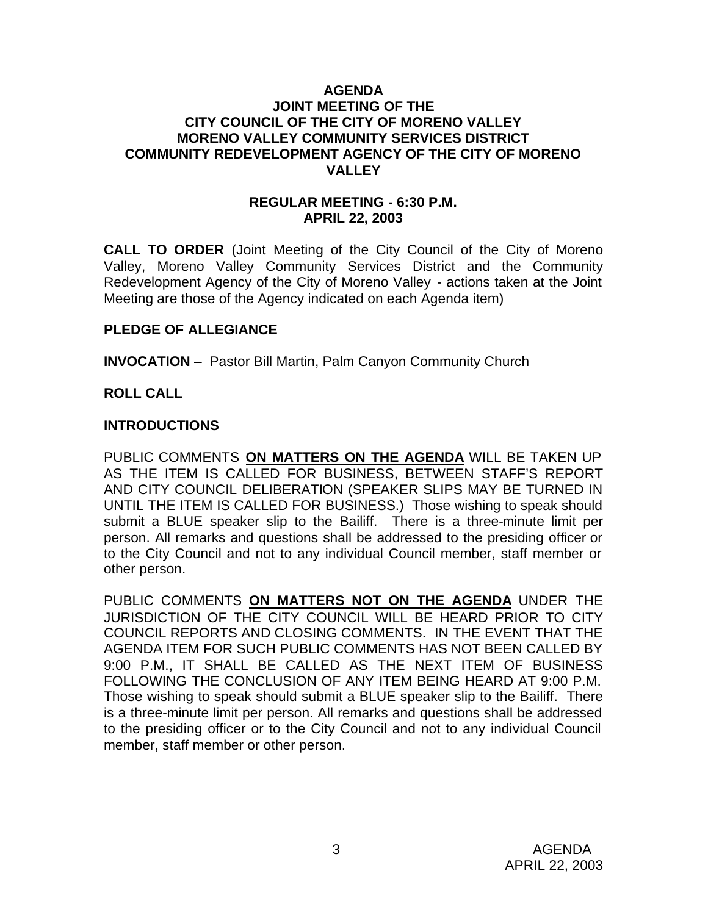### **AGENDA JOINT MEETING OF THE CITY COUNCIL OF THE CITY OF MORENO VALLEY MORENO VALLEY COMMUNITY SERVICES DISTRICT COMMUNITY REDEVELOPMENT AGENCY OF THE CITY OF MORENO VALLEY**

### **REGULAR MEETING - 6:30 P.M. APRIL 22, 2003**

**CALL TO ORDER** (Joint Meeting of the City Council of the City of Moreno Valley, Moreno Valley Community Services District and the Community Redevelopment Agency of the City of Moreno Valley - actions taken at the Joint Meeting are those of the Agency indicated on each Agenda item)

### **PLEDGE OF ALLEGIANCE**

**INVOCATION** – Pastor Bill Martin, Palm Canyon Community Church

#### **ROLL CALL**

#### **INTRODUCTIONS**

PUBLIC COMMENTS **ON MATTERS ON THE AGENDA** WILL BE TAKEN UP AS THE ITEM IS CALLED FOR BUSINESS, BETWEEN STAFF'S REPORT AND CITY COUNCIL DELIBERATION (SPEAKER SLIPS MAY BE TURNED IN UNTIL THE ITEM IS CALLED FOR BUSINESS.) Those wishing to speak should submit a BLUE speaker slip to the Bailiff. There is a three-minute limit per person. All remarks and questions shall be addressed to the presiding officer or to the City Council and not to any individual Council member, staff member or other person.

PUBLIC COMMENTS **ON MATTERS NOT ON THE AGENDA** UNDER THE JURISDICTION OF THE CITY COUNCIL WILL BE HEARD PRIOR TO CITY COUNCIL REPORTS AND CLOSING COMMENTS. IN THE EVENT THAT THE AGENDA ITEM FOR SUCH PUBLIC COMMENTS HAS NOT BEEN CALLED BY 9:00 P.M., IT SHALL BE CALLED AS THE NEXT ITEM OF BUSINESS FOLLOWING THE CONCLUSION OF ANY ITEM BEING HEARD AT 9:00 P.M. Those wishing to speak should submit a BLUE speaker slip to the Bailiff. There is a three-minute limit per person. All remarks and questions shall be addressed to the presiding officer or to the City Council and not to any individual Council member, staff member or other person.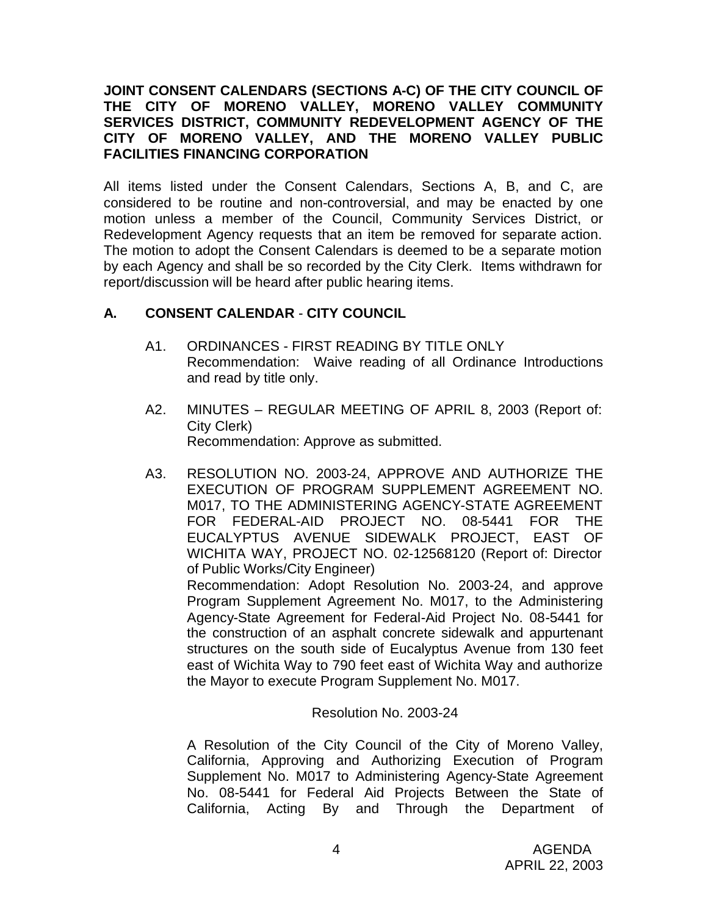### **JOINT CONSENT CALENDARS (SECTIONS A-C) OF THE CITY COUNCIL OF THE CITY OF MORENO VALLEY, MORENO VALLEY COMMUNITY SERVICES DISTRICT, COMMUNITY REDEVELOPMENT AGENCY OF THE CITY OF MORENO VALLEY, AND THE MORENO VALLEY PUBLIC FACILITIES FINANCING CORPORATION**

All items listed under the Consent Calendars, Sections A, B, and C, are considered to be routine and non-controversial, and may be enacted by one motion unless a member of the Council, Community Services District, or Redevelopment Agency requests that an item be removed for separate action. The motion to adopt the Consent Calendars is deemed to be a separate motion by each Agency and shall be so recorded by the City Clerk. Items withdrawn for report/discussion will be heard after public hearing items.

# **A. CONSENT CALENDAR** - **CITY COUNCIL**

- A1. ORDINANCES FIRST READING BY TITLE ONLY Recommendation: Waive reading of all Ordinance Introductions and read by title only.
- A2. MINUTES REGULAR MEETING OF APRIL 8, 2003 (Report of: City Clerk) Recommendation: Approve as submitted.
- A3. RESOLUTION NO. 2003-24, APPROVE AND AUTHORIZE THE EXECUTION OF PROGRAM SUPPLEMENT AGREEMENT NO. M017, TO THE ADMINISTERING AGENCY-STATE AGREEMENT FOR FEDERAL-AID PROJECT NO. 08-5441 FOR THE EUCALYPTUS AVENUE SIDEWALK PROJECT, EAST OF WICHITA WAY, PROJECT NO. 02-12568120 (Report of: Director of Public Works/City Engineer) Recommendation: Adopt Resolution No. 2003-24, and approve

Program Supplement Agreement No. M017, to the Administering Agency-State Agreement for Federal-Aid Project No. 08-5441 for the construction of an asphalt concrete sidewalk and appurtenant structures on the south side of Eucalyptus Avenue from 130 feet east of Wichita Way to 790 feet east of Wichita Way and authorize the Mayor to execute Program Supplement No. M017.

Resolution No. 2003-24

A Resolution of the City Council of the City of Moreno Valley, California, Approving and Authorizing Execution of Program Supplement No. M017 to Administering Agency-State Agreement No. 08-5441 for Federal Aid Projects Between the State of California, Acting By and Through the Department of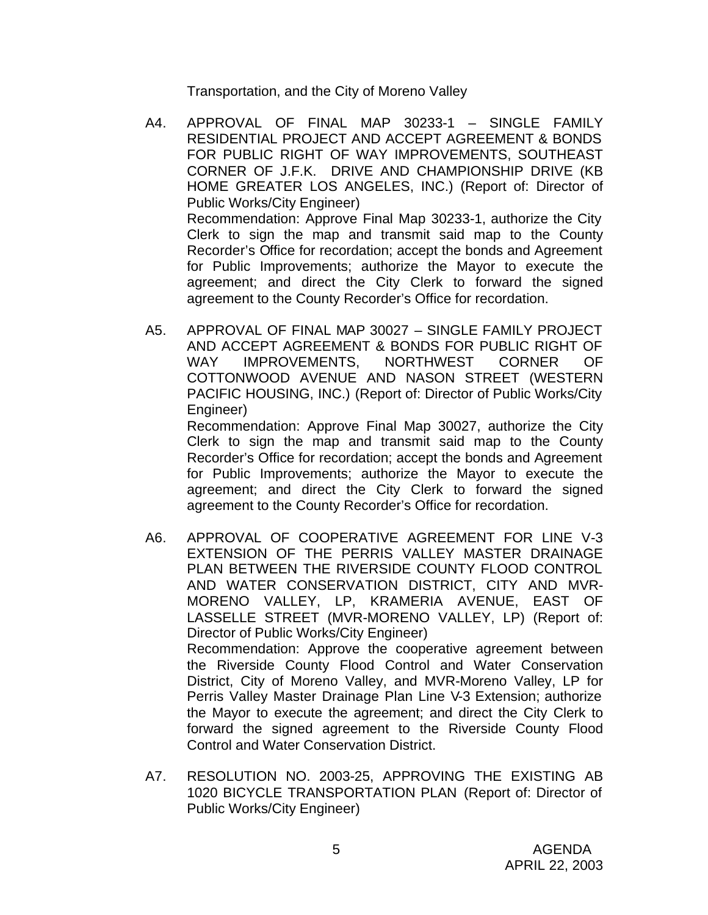Transportation, and the City of Moreno Valley

- A4. APPROVAL OF FINAL MAP 30233-1 SINGLE FAMILY RESIDENTIAL PROJECT AND ACCEPT AGREEMENT & BONDS FOR PUBLIC RIGHT OF WAY IMPROVEMENTS, SOUTHEAST CORNER OF J.F.K. DRIVE AND CHAMPIONSHIP DRIVE (KB HOME GREATER LOS ANGELES, INC.) (Report of: Director of Public Works/City Engineer) Recommendation: Approve Final Map 30233-1, authorize the City Clerk to sign the map and transmit said map to the County Recorder's Office for recordation; accept the bonds and Agreement for Public Improvements; authorize the Mayor to execute the agreement; and direct the City Clerk to forward the signed agreement to the County Recorder's Office for recordation.
- A5. APPROVAL OF FINAL MAP 30027 SINGLE FAMILY PROJECT AND ACCEPT AGREEMENT & BONDS FOR PUBLIC RIGHT OF WAY IMPROVEMENTS, NORTHWEST CORNER OF COTTONWOOD AVENUE AND NASON STREET (WESTERN PACIFIC HOUSING, INC.) (Report of: Director of Public Works/City Engineer)

Recommendation: Approve Final Map 30027, authorize the City Clerk to sign the map and transmit said map to the County Recorder's Office for recordation; accept the bonds and Agreement for Public Improvements; authorize the Mayor to execute the agreement; and direct the City Clerk to forward the signed agreement to the County Recorder's Office for recordation.

- A6. APPROVAL OF COOPERATIVE AGREEMENT FOR LINE V-3 EXTENSION OF THE PERRIS VALLEY MASTER DRAINAGE PLAN BETWEEN THE RIVERSIDE COUNTY FLOOD CONTROL AND WATER CONSERVATION DISTRICT, CITY AND MVR-MORENO VALLEY, LP, KRAMERIA AVENUE, EAST OF LASSELLE STREET (MVR-MORENO VALLEY, LP) (Report of: Director of Public Works/City Engineer) Recommendation: Approve the cooperative agreement between the Riverside County Flood Control and Water Conservation District, City of Moreno Valley, and MVR-Moreno Valley, LP for Perris Valley Master Drainage Plan Line V-3 Extension; authorize the Mayor to execute the agreement; and direct the City Clerk to forward the signed agreement to the Riverside County Flood Control and Water Conservation District.
- A7. RESOLUTION NO. 2003-25, APPROVING THE EXISTING AB 1020 BICYCLE TRANSPORTATION PLAN (Report of: Director of Public Works/City Engineer)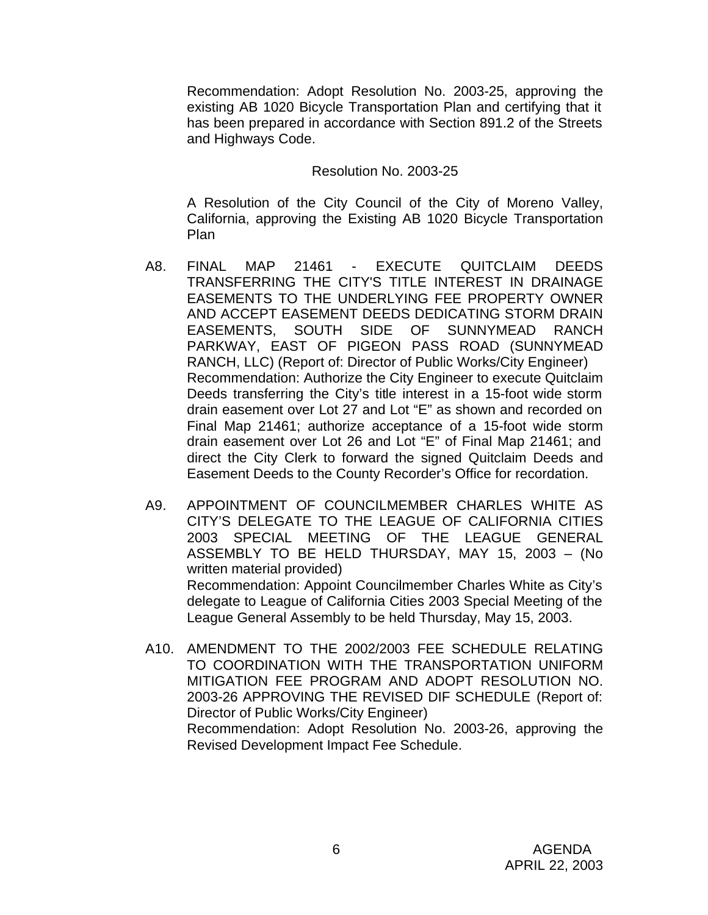Recommendation: Adopt Resolution No. 2003-25, approving the existing AB 1020 Bicycle Transportation Plan and certifying that it has been prepared in accordance with Section 891.2 of the Streets and Highways Code.

#### Resolution No. 2003-25

A Resolution of the City Council of the City of Moreno Valley, California, approving the Existing AB 1020 Bicycle Transportation Plan

- A8. FINAL MAP 21461 EXECUTE QUITCLAIM DEEDS TRANSFERRING THE CITY'S TITLE INTEREST IN DRAINAGE EASEMENTS TO THE UNDERLYING FEE PROPERTY OWNER AND ACCEPT EASEMENT DEEDS DEDICATING STORM DRAIN EASEMENTS, SOUTH SIDE OF SUNNYMEAD RANCH PARKWAY, EAST OF PIGEON PASS ROAD (SUNNYMEAD RANCH, LLC) (Report of: Director of Public Works/City Engineer) Recommendation: Authorize the City Engineer to execute Quitclaim Deeds transferring the City's title interest in a 15-foot wide storm drain easement over Lot 27 and Lot "E" as shown and recorded on Final Map 21461; authorize acceptance of a 15-foot wide storm drain easement over Lot 26 and Lot "E" of Final Map 21461; and direct the City Clerk to forward the signed Quitclaim Deeds and Easement Deeds to the County Recorder's Office for recordation.
- A9. APPOINTMENT OF COUNCILMEMBER CHARLES WHITE AS CITY'S DELEGATE TO THE LEAGUE OF CALIFORNIA CITIES 2003 SPECIAL MEETING OF THE LEAGUE GENERAL ASSEMBLY TO BE HELD THURSDAY, MAY 15, 2003 – (No written material provided) Recommendation: Appoint Councilmember Charles White as City's delegate to League of California Cities 2003 Special Meeting of the League General Assembly to be held Thursday, May 15, 2003.
- A10. AMENDMENT TO THE 2002/2003 FEE SCHEDULE RELATING TO COORDINATION WITH THE TRANSPORTATION UNIFORM MITIGATION FEE PROGRAM AND ADOPT RESOLUTION NO. 2003-26 APPROVING THE REVISED DIF SCHEDULE (Report of: Director of Public Works/City Engineer) Recommendation: Adopt Resolution No. 2003-26, approving the

Revised Development Impact Fee Schedule.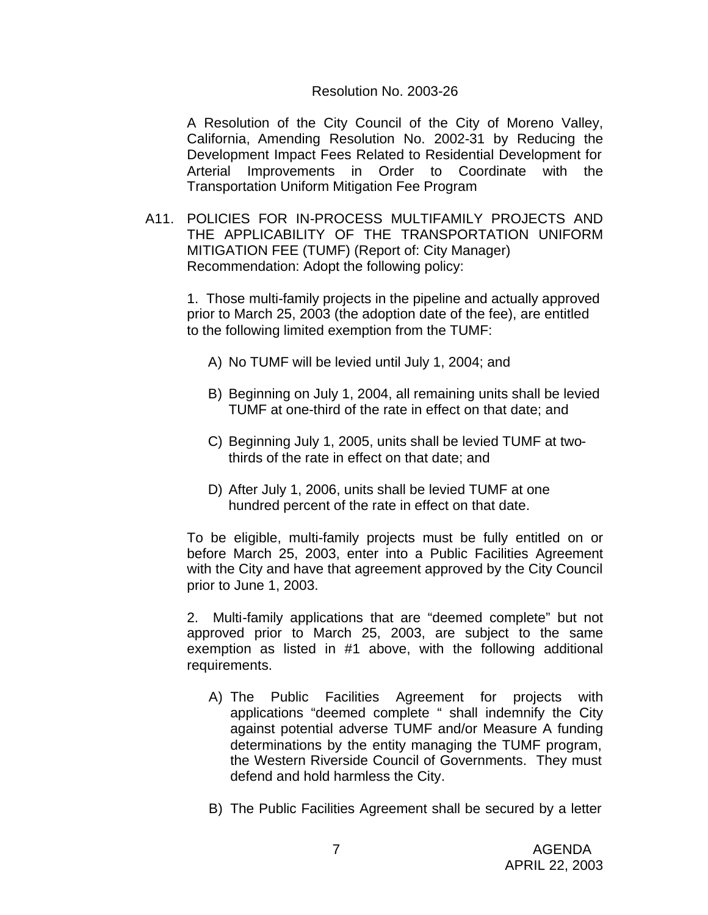#### Resolution No. 2003-26

A Resolution of the City Council of the City of Moreno Valley, California, Amending Resolution No. 2002-31 by Reducing the Development Impact Fees Related to Residential Development for Arterial Improvements in Order to Coordinate with the Transportation Uniform Mitigation Fee Program

A11. POLICIES FOR IN-PROCESS MULTIFAMILY PROJECTS AND THE APPLICABILITY OF THE TRANSPORTATION UNIFORM MITIGATION FEE (TUMF) (Report of: City Manager) Recommendation: Adopt the following policy:

1. Those multi-family projects in the pipeline and actually approved prior to March 25, 2003 (the adoption date of the fee), are entitled to the following limited exemption from the TUMF:

- A) No TUMF will be levied until July 1, 2004; and
- B) Beginning on July 1, 2004, all remaining units shall be levied TUMF at one-third of the rate in effect on that date; and
- C) Beginning July 1, 2005, units shall be levied TUMF at twothirds of the rate in effect on that date; and
- D) After July 1, 2006, units shall be levied TUMF at one hundred percent of the rate in effect on that date.

To be eligible, multi-family projects must be fully entitled on or before March 25, 2003, enter into a Public Facilities Agreement with the City and have that agreement approved by the City Council prior to June 1, 2003.

2. Multi-family applications that are "deemed complete" but not approved prior to March 25, 2003, are subject to the same exemption as listed in #1 above, with the following additional requirements.

- A) The Public Facilities Agreement for projects with applications "deemed complete " shall indemnify the City against potential adverse TUMF and/or Measure A funding determinations by the entity managing the TUMF program, the Western Riverside Council of Governments. They must defend and hold harmless the City.
- B) The Public Facilities Agreement shall be secured by a letter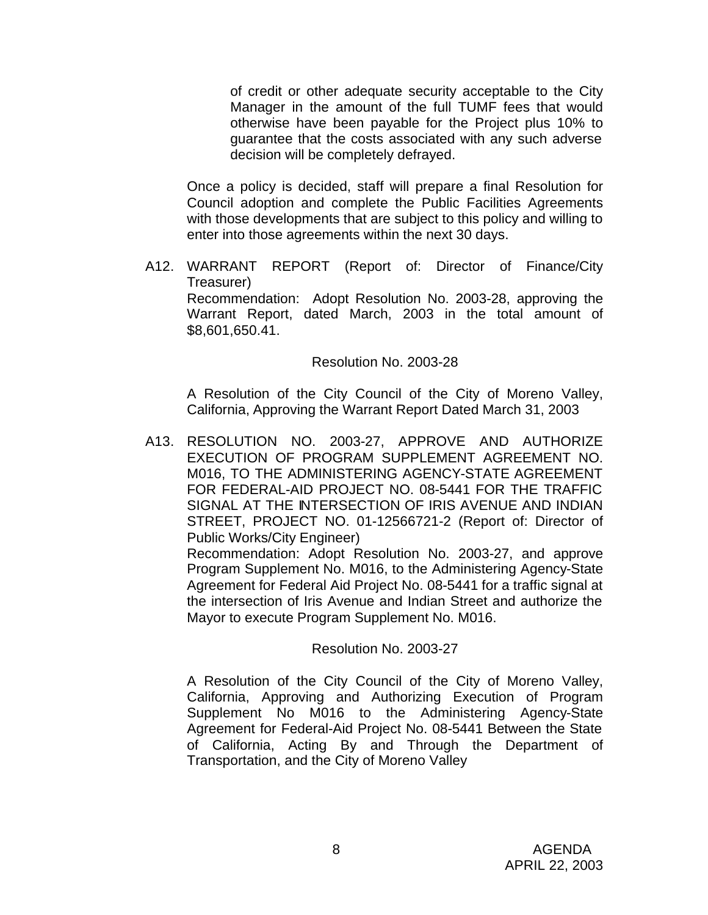of credit or other adequate security acceptable to the City Manager in the amount of the full TUMF fees that would otherwise have been payable for the Project plus 10% to guarantee that the costs associated with any such adverse decision will be completely defrayed.

Once a policy is decided, staff will prepare a final Resolution for Council adoption and complete the Public Facilities Agreements with those developments that are subject to this policy and willing to enter into those agreements within the next 30 days.

A12. WARRANT REPORT (Report of: Director of Finance/City Treasurer) Recommendation: Adopt Resolution No. 2003-28, approving the Warrant Report, dated March, 2003 in the total amount of \$8,601,650.41.

Resolution No. 2003-28

A Resolution of the City Council of the City of Moreno Valley, California, Approving the Warrant Report Dated March 31, 2003

A13. RESOLUTION NO. 2003-27, APPROVE AND AUTHORIZE EXECUTION OF PROGRAM SUPPLEMENT AGREEMENT NO. M016, TO THE ADMINISTERING AGENCY-STATE AGREEMENT FOR FEDERAL-AID PROJECT NO. 08-5441 FOR THE TRAFFIC SIGNAL AT THE INTERSECTION OF IRIS AVENUE AND INDIAN STREET, PROJECT NO. 01-12566721-2 (Report of: Director of Public Works/City Engineer)

Recommendation: Adopt Resolution No. 2003-27, and approve Program Supplement No. M016, to the Administering Agency-State Agreement for Federal Aid Project No. 08-5441 for a traffic signal at the intersection of Iris Avenue and Indian Street and authorize the Mayor to execute Program Supplement No. M016.

### Resolution No. 2003-27

A Resolution of the City Council of the City of Moreno Valley, California, Approving and Authorizing Execution of Program Supplement No M016 to the Administering Agency-State Agreement for Federal-Aid Project No. 08-5441 Between the State of California, Acting By and Through the Department of Transportation, and the City of Moreno Valley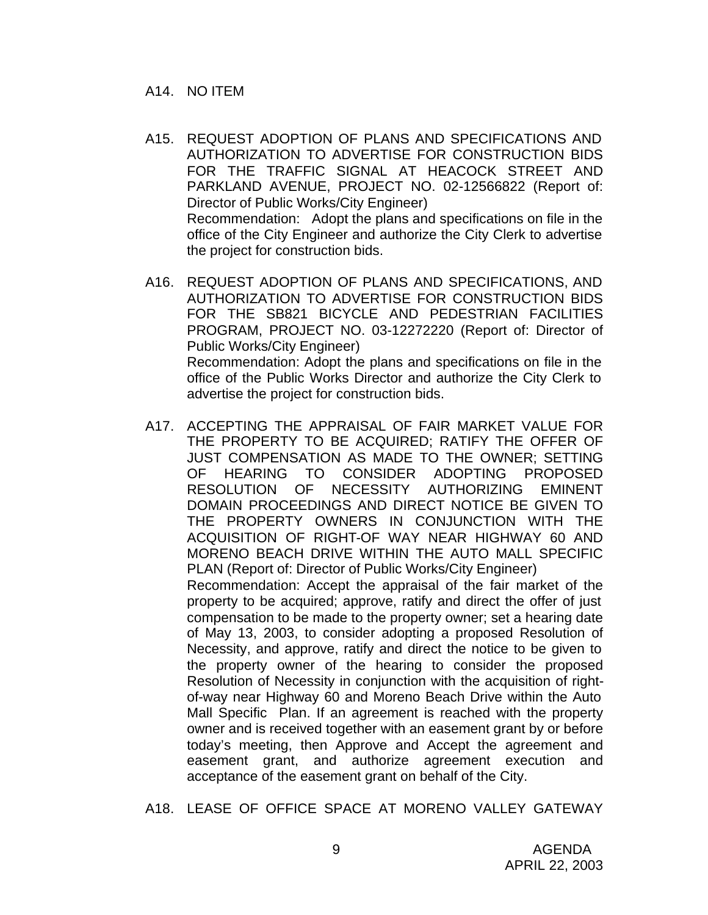- A15. REQUEST ADOPTION OF PLANS AND SPECIFICATIONS AND AUTHORIZATION TO ADVERTISE FOR CONSTRUCTION BIDS FOR THE TRAFFIC SIGNAL AT HEACOCK STREET AND PARKLAND AVENUE, PROJECT NO. 02-12566822 (Report of: Director of Public Works/City Engineer) Recommendation: Adopt the plans and specifications on file in the office of the City Engineer and authorize the City Clerk to advertise the project for construction bids.
- A16. REQUEST ADOPTION OF PLANS AND SPECIFICATIONS, AND AUTHORIZATION TO ADVERTISE FOR CONSTRUCTION BIDS FOR THE SB821 BICYCLE AND PEDESTRIAN FACILITIES PROGRAM, PROJECT NO. 03-12272220 (Report of: Director of Public Works/City Engineer) Recommendation: Adopt the plans and specifications on file in the office of the Public Works Director and authorize the City Clerk to advertise the project for construction bids.
- A17. ACCEPTING THE APPRAISAL OF FAIR MARKET VALUE FOR THE PROPERTY TO BE ACQUIRED; RATIFY THE OFFER OF JUST COMPENSATION AS MADE TO THE OWNER; SETTING OF HEARING TO CONSIDER ADOPTING PROPOSED RESOLUTION OF NECESSITY AUTHORIZING EMINENT DOMAIN PROCEEDINGS AND DIRECT NOTICE BE GIVEN TO THE PROPERTY OWNERS IN CONJUNCTION WITH THE ACQUISITION OF RIGHT-OF WAY NEAR HIGHWAY 60 AND MORENO BEACH DRIVE WITHIN THE AUTO MALL SPECIFIC PLAN (Report of: Director of Public Works/City Engineer) Recommendation: Accept the appraisal of the fair market of the property to be acquired; approve, ratify and direct the offer of just compensation to be made to the property owner; set a hearing date of May 13, 2003, to consider adopting a proposed Resolution of Necessity, and approve, ratify and direct the notice to be given to the property owner of the hearing to consider the proposed Resolution of Necessity in conjunction with the acquisition of rightof-way near Highway 60 and Moreno Beach Drive within the Auto Mall Specific Plan. If an agreement is reached with the property owner and is received together with an easement grant by or before today's meeting, then Approve and Accept the agreement and easement grant, and authorize agreement execution and acceptance of the easement grant on behalf of the City.

A18. LEASE OF OFFICE SPACE AT MORENO VALLEY GATEWAY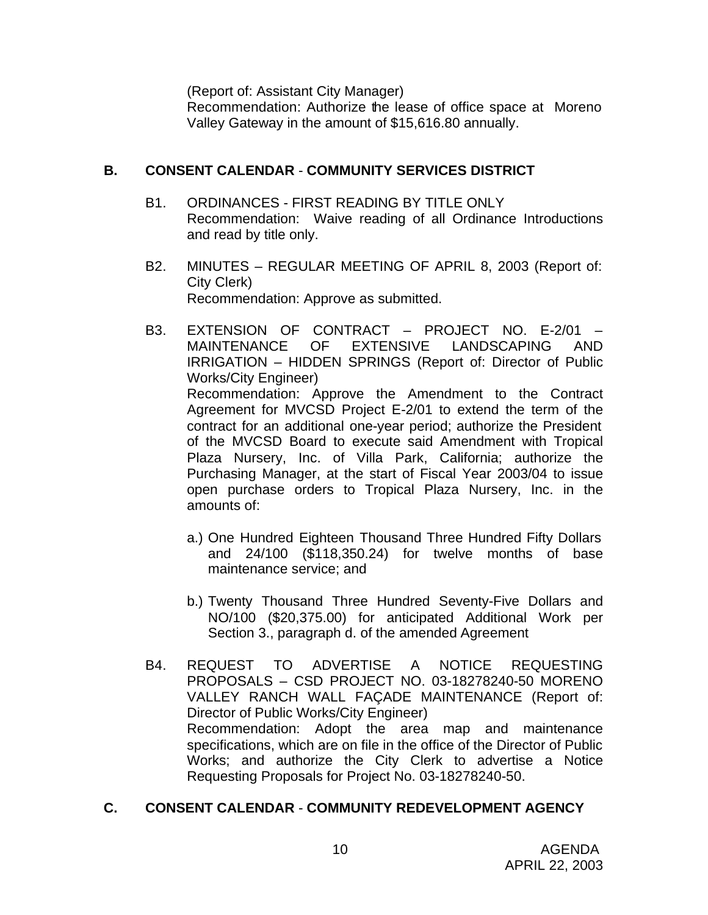(Report of: Assistant City Manager)

Recommendation: Authorize the lease of office space at Moreno Valley Gateway in the amount of \$15,616.80 annually.

### **B. CONSENT CALENDAR** - **COMMUNITY SERVICES DISTRICT**

- B1. ORDINANCES FIRST READING BY TITLE ONLY Recommendation: Waive reading of all Ordinance Introductions and read by title only.
- B2. MINUTES REGULAR MEETING OF APRIL 8, 2003 (Report of: City Clerk) Recommendation: Approve as submitted.
- B3. EXTENSION OF CONTRACT PROJECT NO. E-2/01 MAINTENANCE OF EXTENSIVE LANDSCAPING AND IRRIGATION – HIDDEN SPRINGS (Report of: Director of Public Works/City Engineer) Recommendation: Approve the Amendment to the Contract Agreement for MVCSD Project E-2/01 to extend the term of the contract for an additional one-year period; authorize the President of the MVCSD Board to execute said Amendment with Tropical Plaza Nursery, Inc. of Villa Park, California; authorize the Purchasing Manager, at the start of Fiscal Year 2003/04 to issue open purchase orders to Tropical Plaza Nursery, Inc. in the amounts of:
	- a.) One Hundred Eighteen Thousand Three Hundred Fifty Dollars and 24/100 (\$118,350.24) for twelve months of base maintenance service; and
	- b.) Twenty Thousand Three Hundred Seventy-Five Dollars and NO/100 (\$20,375.00) for anticipated Additional Work per Section 3., paragraph d. of the amended Agreement
- B4. REQUEST TO ADVERTISE A NOTICE REQUESTING PROPOSALS – CSD PROJECT NO. 03-18278240-50 MORENO VALLEY RANCH WALL FAÇADE MAINTENANCE (Report of: Director of Public Works/City Engineer) Recommendation: Adopt the area map and maintenance specifications, which are on file in the office of the Director of Public Works; and authorize the City Clerk to advertise a Notice Requesting Proposals for Project No. 03-18278240-50.

# **C. CONSENT CALENDAR** - **COMMUNITY REDEVELOPMENT AGENCY**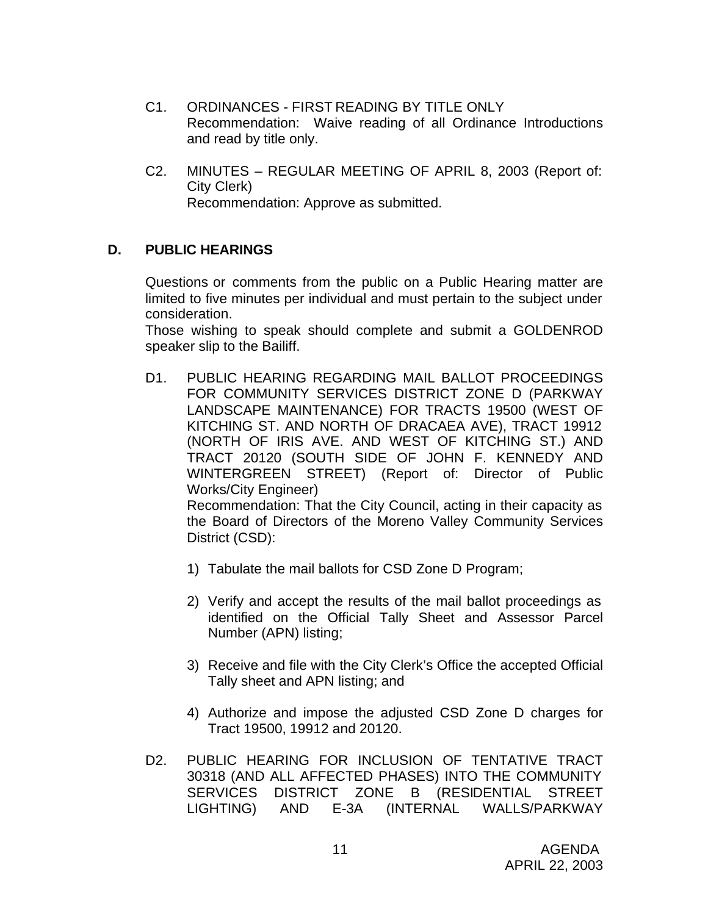- C1. ORDINANCES FIRST READING BY TITLE ONLY Recommendation: Waive reading of all Ordinance Introductions and read by title only.
- C2. MINUTES REGULAR MEETING OF APRIL 8, 2003 (Report of: City Clerk) Recommendation: Approve as submitted.

### **D. PUBLIC HEARINGS**

Questions or comments from the public on a Public Hearing matter are limited to five minutes per individual and must pertain to the subject under consideration.

Those wishing to speak should complete and submit a GOLDENROD speaker slip to the Bailiff.

D1. PUBLIC HEARING REGARDING MAIL BALLOT PROCEEDINGS FOR COMMUNITY SERVICES DISTRICT ZONE D (PARKWAY LANDSCAPE MAINTENANCE) FOR TRACTS 19500 (WEST OF KITCHING ST. AND NORTH OF DRACAEA AVE), TRACT 19912 (NORTH OF IRIS AVE. AND WEST OF KITCHING ST.) AND TRACT 20120 (SOUTH SIDE OF JOHN F. KENNEDY AND WINTERGREEN STREET) (Report of: Director of Public Works/City Engineer)

Recommendation: That the City Council, acting in their capacity as the Board of Directors of the Moreno Valley Community Services District (CSD):

- 1) Tabulate the mail ballots for CSD Zone D Program;
- 2) Verify and accept the results of the mail ballot proceedings as identified on the Official Tally Sheet and Assessor Parcel Number (APN) listing;
- 3) Receive and file with the City Clerk's Office the accepted Official Tally sheet and APN listing; and
- 4) Authorize and impose the adjusted CSD Zone D charges for Tract 19500, 19912 and 20120.
- D2. PUBLIC HEARING FOR INCLUSION OF TENTATIVE TRACT 30318 (AND ALL AFFECTED PHASES) INTO THE COMMUNITY SERVICES DISTRICT ZONE B (RESIDENTIAL STREET LIGHTING) AND E-3A (INTERNAL WALLS/PARKWAY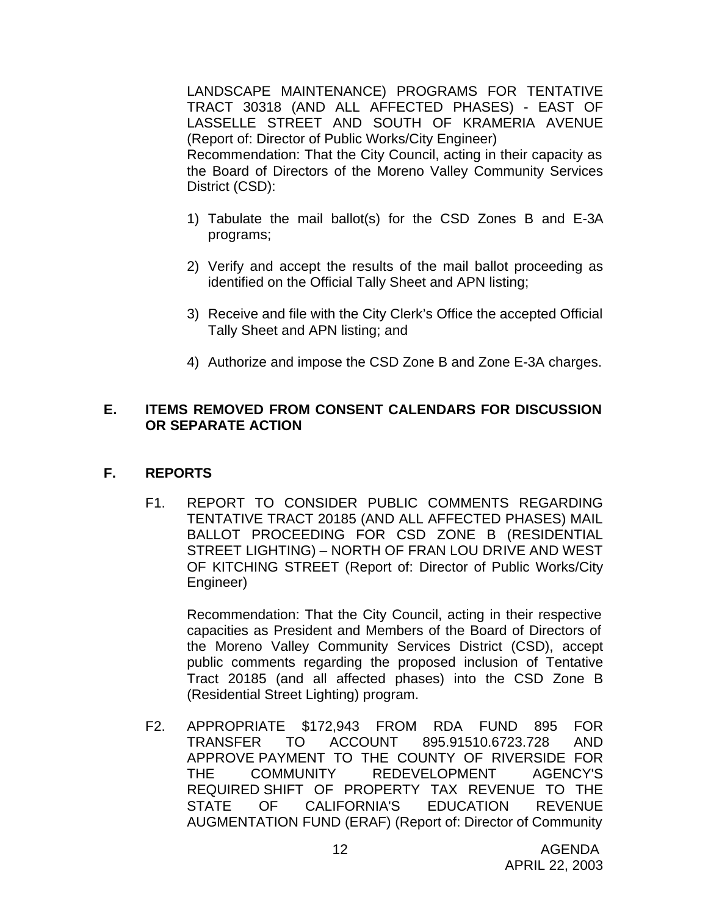LANDSCAPE MAINTENANCE) PROGRAMS FOR TENTATIVE TRACT 30318 (AND ALL AFFECTED PHASES) - EAST OF LASSELLE STREET AND SOUTH OF KRAMERIA AVENUE (Report of: Director of Public Works/City Engineer) Recommendation: That the City Council, acting in their capacity as the Board of Directors of the Moreno Valley Community Services District (CSD):

- 1) Tabulate the mail ballot(s) for the CSD Zones B and E-3A programs;
- 2) Verify and accept the results of the mail ballot proceeding as identified on the Official Tally Sheet and APN listing;
- 3) Receive and file with the City Clerk's Office the accepted Official Tally Sheet and APN listing; and
- 4) Authorize and impose the CSD Zone B and Zone E-3A charges.

# **E. ITEMS REMOVED FROM CONSENT CALENDARS FOR DISCUSSION OR SEPARATE ACTION**

# **F. REPORTS**

F1. REPORT TO CONSIDER PUBLIC COMMENTS REGARDING TENTATIVE TRACT 20185 (AND ALL AFFECTED PHASES) MAIL BALLOT PROCEEDING FOR CSD ZONE B (RESIDENTIAL STREET LIGHTING) – NORTH OF FRAN LOU DRIVE AND WEST OF KITCHING STREET (Report of: Director of Public Works/City Engineer)

Recommendation: That the City Council, acting in their respective capacities as President and Members of the Board of Directors of the Moreno Valley Community Services District (CSD), accept public comments regarding the proposed inclusion of Tentative Tract 20185 (and all affected phases) into the CSD Zone B (Residential Street Lighting) program.

F2. APPROPRIATE \$172,943 FROM RDA FUND 895 FOR TRANSFER TO ACCOUNT 895.91510.6723.728 AND APPROVE PAYMENT TO THE COUNTY OF RIVERSIDE FOR THE COMMUNITY REDEVELOPMENT AGENCY'S REQUIRED SHIFT OF PROPERTY TAX REVENUE TO THE STATE OF CALIFORNIA'S EDUCATION REVENUE AUGMENTATION FUND (ERAF) (Report of: Director of Community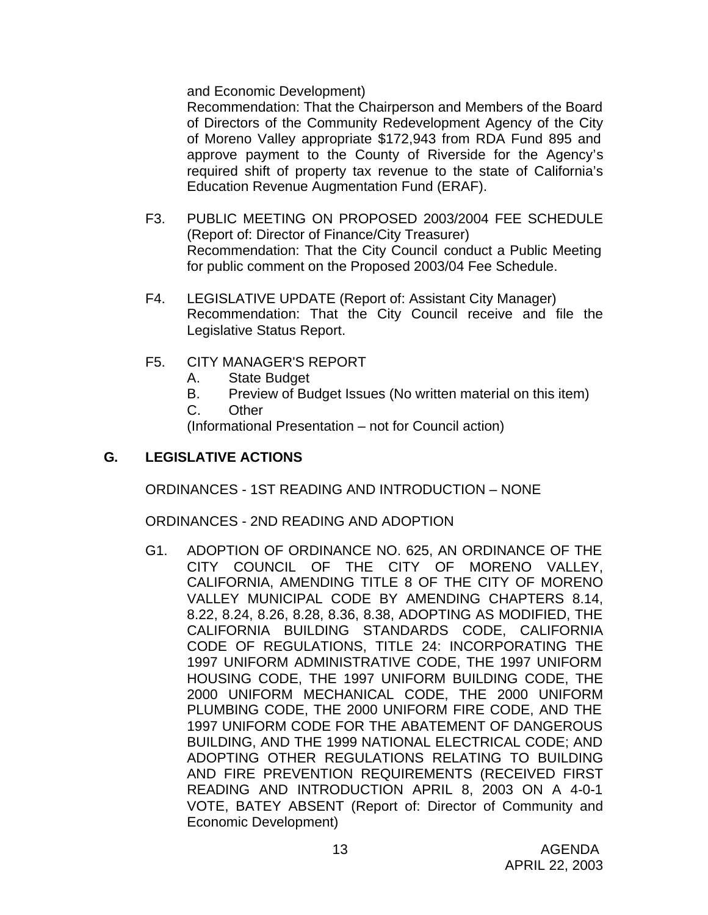and Economic Development)

Recommendation: That the Chairperson and Members of the Board of Directors of the Community Redevelopment Agency of the City of Moreno Valley appropriate \$172,943 from RDA Fund 895 and approve payment to the County of Riverside for the Agency's required shift of property tax revenue to the state of California's Education Revenue Augmentation Fund (ERAF).

- F3. PUBLIC MEETING ON PROPOSED 2003/2004 FEE SCHEDULE (Report of: Director of Finance/City Treasurer) Recommendation: That the City Council conduct a Public Meeting for public comment on the Proposed 2003/04 Fee Schedule.
- F4. LEGISLATIVE UPDATE (Report of: Assistant City Manager) Recommendation: That the City Council receive and file the Legislative Status Report.
- F5. CITY MANAGER'S REPORT
	- A. State Budget
	- B. Preview of Budget Issues (No written material on this item)
	- C. Other

(Informational Presentation – not for Council action)

# **G. LEGISLATIVE ACTIONS**

ORDINANCES - 1ST READING AND INTRODUCTION – NONE

ORDINANCES - 2ND READING AND ADOPTION

G1. ADOPTION OF ORDINANCE NO. 625, AN ORDINANCE OF THE CITY COUNCIL OF THE CITY OF MORENO VALLEY, CALIFORNIA, AMENDING TITLE 8 OF THE CITY OF MORENO VALLEY MUNICIPAL CODE BY AMENDING CHAPTERS 8.14, 8.22, 8.24, 8.26, 8.28, 8.36, 8.38, ADOPTING AS MODIFIED, THE CALIFORNIA BUILDING STANDARDS CODE, CALIFORNIA CODE OF REGULATIONS, TITLE 24: INCORPORATING THE 1997 UNIFORM ADMINISTRATIVE CODE, THE 1997 UNIFORM HOUSING CODE, THE 1997 UNIFORM BUILDING CODE, THE 2000 UNIFORM MECHANICAL CODE, THE 2000 UNIFORM PLUMBING CODE, THE 2000 UNIFORM FIRE CODE, AND THE 1997 UNIFORM CODE FOR THE ABATEMENT OF DANGEROUS BUILDING, AND THE 1999 NATIONAL ELECTRICAL CODE; AND ADOPTING OTHER REGULATIONS RELATING TO BUILDING AND FIRE PREVENTION REQUIREMENTS (RECEIVED FIRST READING AND INTRODUCTION APRIL 8, 2003 ON A 4-0-1 VOTE, BATEY ABSENT (Report of: Director of Community and Economic Development)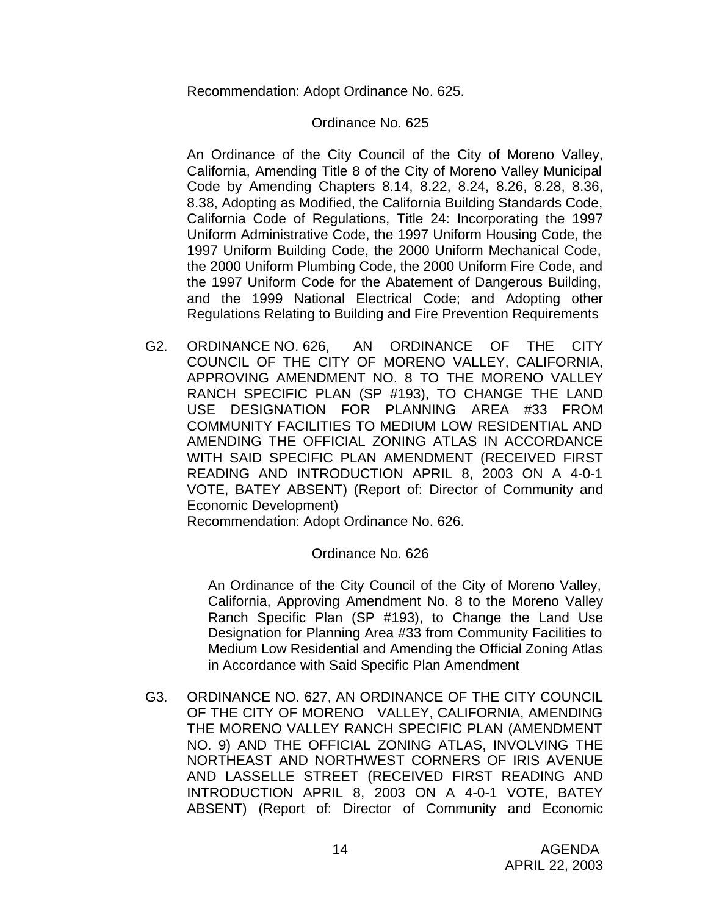Recommendation: Adopt Ordinance No. 625.

### Ordinance No. 625

An Ordinance of the City Council of the City of Moreno Valley, California, Amending Title 8 of the City of Moreno Valley Municipal Code by Amending Chapters 8.14, 8.22, 8.24, 8.26, 8.28, 8.36, 8.38, Adopting as Modified, the California Building Standards Code, California Code of Regulations, Title 24: Incorporating the 1997 Uniform Administrative Code, the 1997 Uniform Housing Code, the 1997 Uniform Building Code, the 2000 Uniform Mechanical Code, the 2000 Uniform Plumbing Code, the 2000 Uniform Fire Code, and the 1997 Uniform Code for the Abatement of Dangerous Building, and the 1999 National Electrical Code; and Adopting other Regulations Relating to Building and Fire Prevention Requirements

G2. ORDINANCE NO. 626, AN ORDINANCE OF THE CITY COUNCIL OF THE CITY OF MORENO VALLEY, CALIFORNIA, APPROVING AMENDMENT NO. 8 TO THE MORENO VALLEY RANCH SPECIFIC PLAN (SP #193), TO CHANGE THE LAND USE DESIGNATION FOR PLANNING AREA #33 FROM COMMUNITY FACILITIES TO MEDIUM LOW RESIDENTIAL AND AMENDING THE OFFICIAL ZONING ATLAS IN ACCORDANCE WITH SAID SPECIFIC PLAN AMENDMENT (RECEIVED FIRST READING AND INTRODUCTION APRIL 8, 2003 ON A 4-0-1 VOTE, BATEY ABSENT) (Report of: Director of Community and Economic Development)

Recommendation: Adopt Ordinance No. 626.

### Ordinance No. 626

An Ordinance of the City Council of the City of Moreno Valley, California, Approving Amendment No. 8 to the Moreno Valley Ranch Specific Plan (SP #193), to Change the Land Use Designation for Planning Area #33 from Community Facilities to Medium Low Residential and Amending the Official Zoning Atlas in Accordance with Said Specific Plan Amendment

G3. ORDINANCE NO. 627, AN ORDINANCE OF THE CITY COUNCIL OF THE CITY OF MORENO VALLEY, CALIFORNIA, AMENDING THE MORENO VALLEY RANCH SPECIFIC PLAN (AMENDMENT NO. 9) AND THE OFFICIAL ZONING ATLAS, INVOLVING THE NORTHEAST AND NORTHWEST CORNERS OF IRIS AVENUE AND LASSELLE STREET (RECEIVED FIRST READING AND INTRODUCTION APRIL 8, 2003 ON A 4-0-1 VOTE, BATEY ABSENT) (Report of: Director of Community and Economic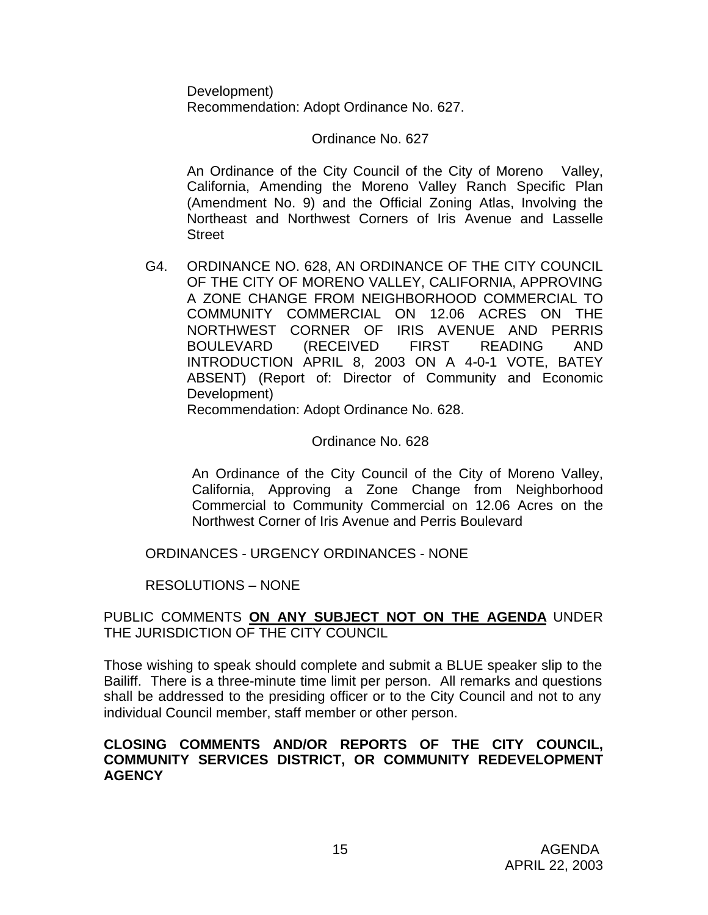Development) Recommendation: Adopt Ordinance No. 627.

Ordinance No. 627

An Ordinance of the City Council of the City of Moreno Valley, California, Amending the Moreno Valley Ranch Specific Plan (Amendment No. 9) and the Official Zoning Atlas, Involving the Northeast and Northwest Corners of Iris Avenue and Lasselle **Street** 

G4. ORDINANCE NO. 628, AN ORDINANCE OF THE CITY COUNCIL OF THE CITY OF MORENO VALLEY, CALIFORNIA, APPROVING A ZONE CHANGE FROM NEIGHBORHOOD COMMERCIAL TO COMMUNITY COMMERCIAL ON 12.06 ACRES ON THE NORTHWEST CORNER OF IRIS AVENUE AND PERRIS BOULEVARD (RECEIVED FIRST READING AND INTRODUCTION APRIL 8, 2003 ON A 4-0-1 VOTE, BATEY ABSENT) (Report of: Director of Community and Economic Development)

Recommendation: Adopt Ordinance No. 628.

### Ordinance No. 628

An Ordinance of the City Council of the City of Moreno Valley, California, Approving a Zone Change from Neighborhood Commercial to Community Commercial on 12.06 Acres on the Northwest Corner of Iris Avenue and Perris Boulevard

ORDINANCES - URGENCY ORDINANCES - NONE

RESOLUTIONS – NONE

### PUBLIC COMMENTS **ON ANY SUBJECT NOT ON THE AGENDA** UNDER THE JURISDICTION OF THE CITY COUNCIL

Those wishing to speak should complete and submit a BLUE speaker slip to the Bailiff. There is a three-minute time limit per person. All remarks and questions shall be addressed to the presiding officer or to the City Council and not to any individual Council member, staff member or other person.

### **CLOSING COMMENTS AND/OR REPORTS OF THE CITY COUNCIL, COMMUNITY SERVICES DISTRICT, OR COMMUNITY REDEVELOPMENT AGENCY**